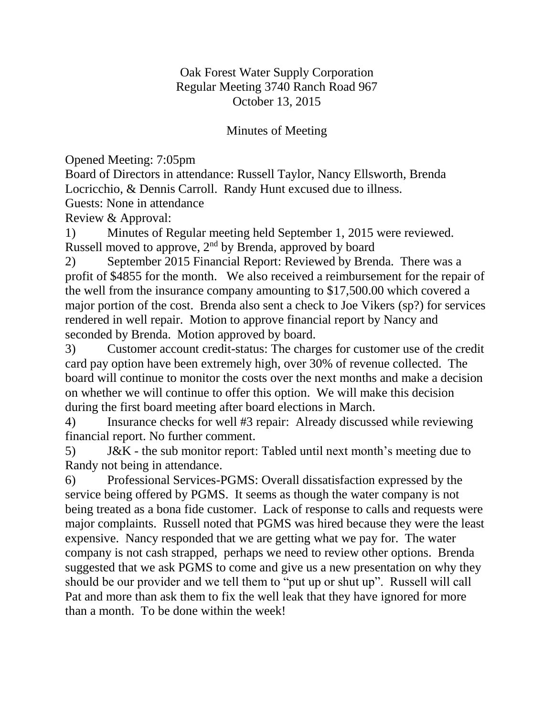## Oak Forest Water Supply Corporation Regular Meeting 3740 Ranch Road 967 October 13, 2015

## Minutes of Meeting

Opened Meeting: 7:05pm

Board of Directors in attendance: Russell Taylor, Nancy Ellsworth, Brenda Locricchio, & Dennis Carroll. Randy Hunt excused due to illness.

Guests: None in attendance

Review & Approval:

1) Minutes of Regular meeting held September 1, 2015 were reviewed. Russell moved to approve, 2nd by Brenda, approved by board

2) September 2015 Financial Report: Reviewed by Brenda. There was a profit of \$4855 for the month. We also received a reimbursement for the repair of the well from the insurance company amounting to \$17,500.00 which covered a major portion of the cost. Brenda also sent a check to Joe Vikers (sp?) for services rendered in well repair. Motion to approve financial report by Nancy and seconded by Brenda. Motion approved by board.

3) Customer account credit-status: The charges for customer use of the credit card pay option have been extremely high, over 30% of revenue collected. The board will continue to monitor the costs over the next months and make a decision on whether we will continue to offer this option. We will make this decision during the first board meeting after board elections in March.

4) Insurance checks for well #3 repair: Already discussed while reviewing financial report. No further comment.

5) J&K - the sub monitor report: Tabled until next month's meeting due to Randy not being in attendance.

6) Professional Services-PGMS: Overall dissatisfaction expressed by the service being offered by PGMS. It seems as though the water company is not being treated as a bona fide customer. Lack of response to calls and requests were major complaints. Russell noted that PGMS was hired because they were the least expensive. Nancy responded that we are getting what we pay for. The water company is not cash strapped, perhaps we need to review other options. Brenda suggested that we ask PGMS to come and give us a new presentation on why they should be our provider and we tell them to "put up or shut up". Russell will call Pat and more than ask them to fix the well leak that they have ignored for more than a month. To be done within the week!